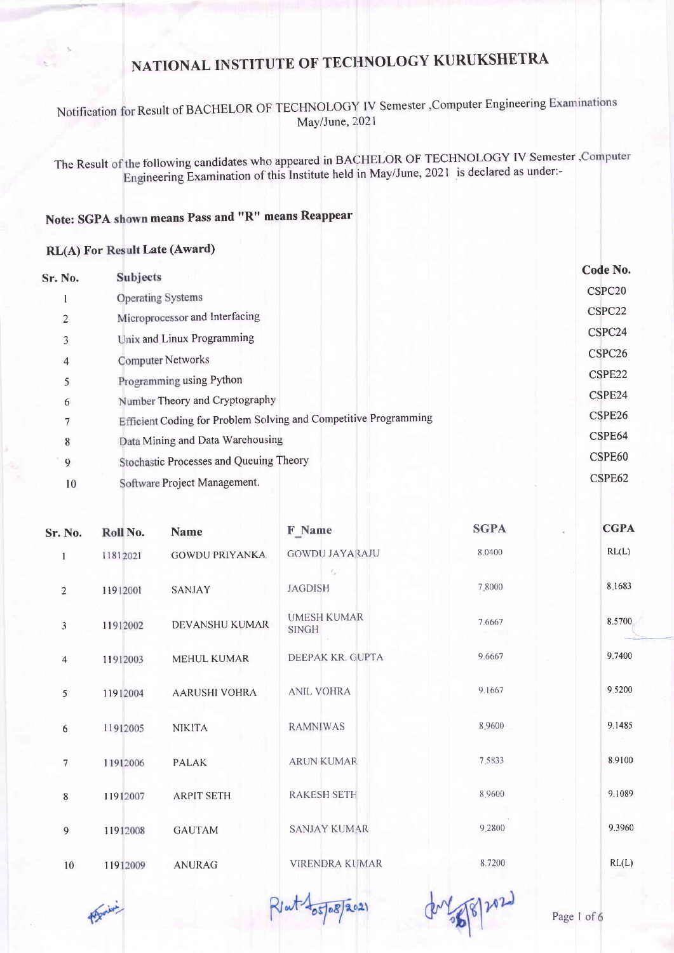### Notification for Result of BACHELOR OF TECHNOLOGY IV Semester, Computer Engineering May/June, 2021

The Result of the following candidates who appeared in BACHELOR OF TECHNOLOGY IV Semester Engineering-Examination of this Institute held in May/June, 2021 is declared as under:-

### Note: SGPA shown means Pass and "R" means Reappear

### RL(A) For Result Late (Award)

| Code No.           |
|--------------------|
| CSPC <sub>20</sub> |
| CSPC22             |
| CSPC24             |
| CSPC <sub>26</sub> |
| CSPE22             |
| CSPE24             |
| CSPE26             |
| CSPE64             |
| CSPE60             |
| CSPE62             |
|                    |

| Sr. No.        | Roll No. | <b>Name</b>           | <b>F</b> Name                      | <b>SGPA</b>      | <b>CGPA</b> |
|----------------|----------|-----------------------|------------------------------------|------------------|-------------|
| $\mathbf{1}$   | 11812021 | <b>GOWDU PRIYANKA</b> | <b>GOWDU JAYARAJU</b><br>Ł,        | 8.0400           | RL(L)       |
| $\overline{2}$ | 11912001 | <b>SANJAY</b>         | <b>JAGDISH</b>                     | 7.8000           | 8.1683      |
| $\mathbf{3}$   | 11912002 | DEVANSHU KUMAR        | <b>UMESH KUMAR</b><br><b>SINGH</b> | 7.6667<br>$-151$ | 8.5700      |
| $\overline{4}$ | 11912003 | MEHUL KUMAR           | DEEPAK KR. GUPTA                   | 9.6667           | 9.7400      |
| 5              | 11912004 | <b>AARUSHI VOHRA</b>  | <b>ANIL VOHRA</b>                  | 9.1667           | 9.5200      |
| 6              | 11912005 | <b>NIKITA</b>         | <b>RAMNIWAS</b>                    | 8,9600           | 9.1485      |
| 7              | 11912006 | <b>PALAK</b>          | <b>ARUN KUMAR</b>                  | 7.5833           | 8.9100      |
| $\,$ 8 $\,$    | 11912007 | <b>ARPIT SETH</b>     | <b>RAKESH SETH</b>                 | 8.9600           | 9.1089      |
| 9              | 11912008 | <b>GAUTAM</b>         | <b>SANJAY KUMAR</b>                | 9.2800           | 9.3960      |
| 10             | 11912009 | <b>ANURAG</b>         | <b>VIRENDRA KUMAR</b>              | 8.7200           | RL(L)       |

**Paraius** 

Rot 405/08/2021

guy 28/2027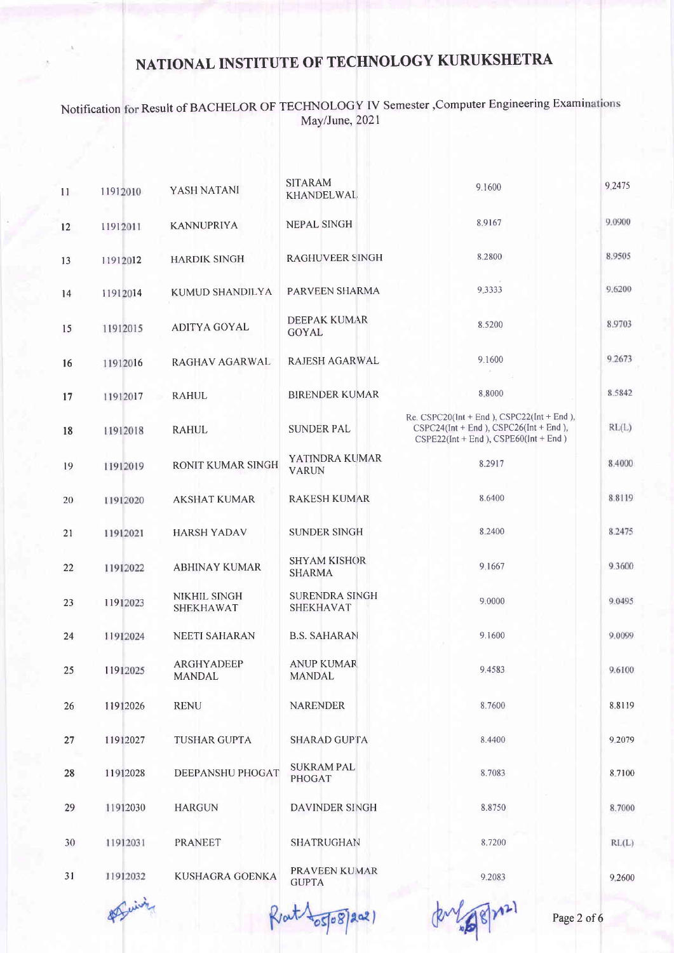### Notification for Result of BACHELOR OF TECHNOLOGY IV Semester, Computer Engineering Exami May/June, 2021

| 11 | 11912010 | YASH NATANI                      | <b>SITARAM</b><br>KHANDELWAL              | 9.1600                                                                                                                               | 9.2475 |
|----|----------|----------------------------------|-------------------------------------------|--------------------------------------------------------------------------------------------------------------------------------------|--------|
| 12 | 11912011 | <b>KANNUPRIYA</b>                | <b>NEPAL SINGH</b>                        | 8.9167                                                                                                                               | 9.0900 |
| 13 | 11912012 | <b>HARDIK SINGH</b>              | <b>RAGHUVEER SINGH</b>                    | 8.2800                                                                                                                               | 8.9505 |
| 14 | 11912014 | <b>KUMUD SHANDILYA</b>           | <b>PARVEEN SHARMA</b>                     | 9.3333                                                                                                                               | 9.6200 |
| 15 | 11912015 | ADITYA GOYAL                     | <b>DEEPAK KUMAR</b><br>GOYAL              | 8.5200                                                                                                                               | 8.9703 |
| 16 | 11912016 | RAGHAV AGARWAL                   | <b>RAJESH AGARWAL</b>                     | 9,1600                                                                                                                               | 9.2673 |
| 17 | 11912017 | <b>RAHUL</b>                     | <b>BIRENDER KUMAR</b>                     | 8.8000                                                                                                                               | 8.5842 |
| 18 | 11912018 | <b>RAHUL</b>                     | <b>SUNDER PAL</b>                         | Re. $CSPC20(int + End)$ , $CSPC22(int + End)$ ,<br>$CSPC24(int + End), CSPC26(int + End),$<br>$CSPE22(int + End), CSPE60(int + End)$ | RL(L)  |
| 19 | 11912019 | RONIT KUMAR SINGH                | YATINDRA KUMAR<br><b>VARUN</b>            | 8.2917                                                                                                                               | 8.4000 |
| 20 | 11912020 | <b>AKSHAT KUMAR</b>              | <b>RAKESH KUMAR</b>                       | 8.6400                                                                                                                               | 8.8119 |
| 21 | 11912021 | <b>HARSH YADAV</b>               | <b>SUNDER SINGH</b>                       | 8.2400                                                                                                                               | 8.2475 |
| 22 | 11912022 | <b>ABHINAY KUMAR</b>             | <b>SHYAM KISHOR</b><br><b>SHARMA</b>      | 9,1667                                                                                                                               | 9.3600 |
| 23 | 11912023 | NIKHIL SINGH<br><b>SHEKHAWAT</b> | <b>SURENDRA SINGH</b><br><b>SHEKHAVAT</b> | 9.0000                                                                                                                               | 9.0495 |
| 24 | 11912024 | <b>NEETI SAHARAN</b>             | <b>B.S. SAHARAN</b>                       | 9.1600                                                                                                                               | 9.0099 |
| 25 | 11912025 | <b>ARGHYADEEP</b><br>MANDAL      | <b>ANUP KUMAR</b><br>MANDAL               | 9.4583                                                                                                                               | 9.6100 |
| 26 | 11912026 | <b>RENU</b>                      | <b>NARENDER</b>                           | 8.7600                                                                                                                               | 8.8119 |
| 27 | 11912027 | <b>TUSHAR GUPTA</b>              | <b>SHARAD GUPTA</b>                       | 8.4400                                                                                                                               | 9.2079 |
| 28 | 11912028 | DEEPANSHU PHOGAT                 | <b>SUKRAM PAL</b><br>PHOGAT               | 8.7083                                                                                                                               | 8.7100 |
| 29 | 11912030 | <b>HARGUN</b>                    | <b>DAVINDER SINGH</b>                     | 8.8750                                                                                                                               | 8.7000 |
| 30 | 11912031 | PRANEET                          | <b>SHATRUGHAN</b>                         | 8,7200                                                                                                                               | RL(L)  |
| 31 | 11912032 | KUSHAGRA GOENKA                  | PRAVEEN KUMAR<br><b>GUPTA</b>             | 9.2083                                                                                                                               | 9.2600 |
|    |          |                                  |                                           |                                                                                                                                      |        |

Rent to 5/08/2021

Page 2 of 6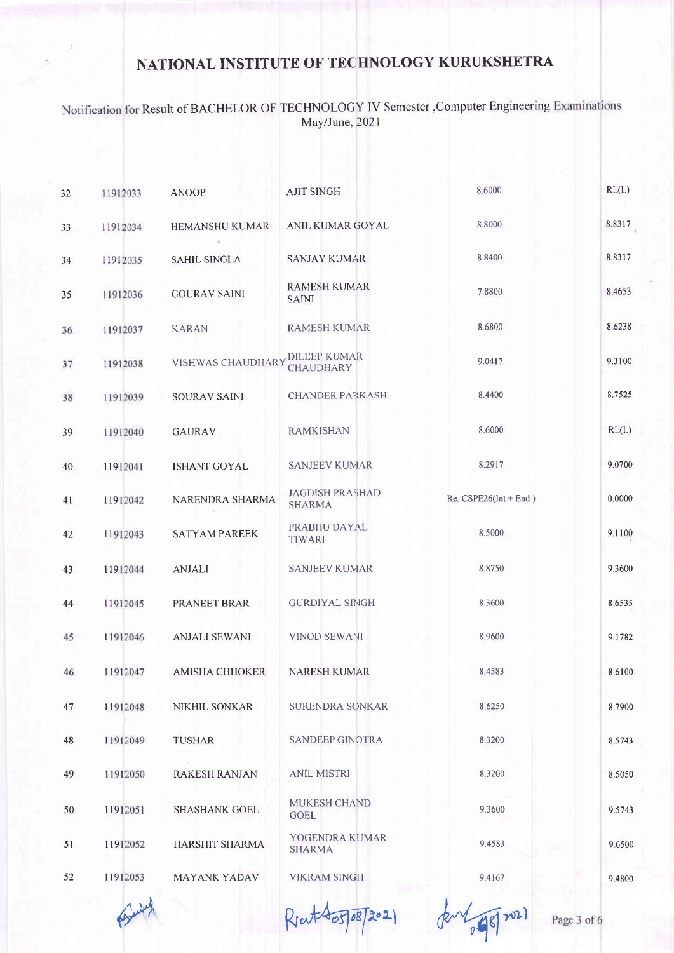# Notification for Result of BACHELOR OF TECHNOLOGY IV Semester ,Computer Engineering Examinations<br>May/June, 2021

| 32 | 11912033 | <b>ANOOP</b>                   | <b>AJIT SINGH</b>                       | 8.6000                  | RL(L)  |
|----|----------|--------------------------------|-----------------------------------------|-------------------------|--------|
| 33 | 11912034 | HEMANSHU KUMAR                 | ANIL KUMAR GOYAL                        | 8.8000                  | 8.8317 |
| 34 | 11912035 | <b>SAHIL SINGLA</b>            | <b>SANJAY KUMAR</b>                     | 8.8400                  | 8.8317 |
| 35 | 11912036 | <b>GOURAV SAINI</b>            | <b>RAMESH KUMAR</b><br><b>SAINI</b>     | 7.8800                  | 8.4653 |
| 36 | 11912037 | <b>KARAN</b>                   | <b>RAMESH KUMAR</b>                     | 8.6800                  | 8.6238 |
| 37 | 11912038 | VISHWAS CHAUDHARY DILEEP KUMAR |                                         | 9.0417                  | 9.3100 |
| 38 | 11912039 | SOURAV SAINI                   | <b>CHANDER PARKASH</b>                  | 8.4400                  | 8.7525 |
| 39 | 11912040 | GAURAV                         | <b>RAMKISHAN</b>                        | 8.6000                  | RL(L)  |
| 40 | 11912041 | ISHANT GOYAL                   | <b>SANJEEV KUMAR</b>                    | 8.2917                  | 9.0700 |
| 41 | 11912042 | NARENDRA SHARMA                | <b>JAGDISH PRASHAD</b><br><b>SHARMA</b> | Re. $CSPE26(int + End)$ | 0.0000 |
| 42 | 11912043 | <b>SATYAM PAREEK</b>           | PRABHU DAYAL<br><b>TIWARI</b>           | 8.5000                  | 9.1100 |
| 43 | 11912044 | <b>ANJALI</b>                  | <b>SANJEEV KUMAR</b>                    | 8.8750                  | 9.3600 |
| 44 | 11912045 | PRANEET BRAR                   | <b>GURDIYAL SINGH</b>                   | 8.3600                  | 8.6535 |
| 45 | 11912046 | <b>ANJALI SEWANI</b>           | <b>VINOD SEWANI</b>                     | 8.9600                  | 9.1782 |
| 46 | 11912047 | <b>AMISHA CHHOKER</b>          | <b>NARESH KUMAR</b>                     | 8.4583                  | 8.6100 |
| 47 | 11912048 | <b>NIKHIL SONKAR</b>           | <b>SURENDRA SONKAR</b>                  | 8.6250                  | 8.7900 |
| 48 | 11912049 | TUSHAR                         | <b>SANDEEP GINOTRA</b>                  | 8.3200                  | 8.5743 |
| 49 | 11912050 | <b>RAKESH RANJAN</b>           | <b>ANIL MISTRI</b>                      | 8.3200                  | 8,5050 |
| 50 | 11912051 | <b>SHASHANK GOEL</b>           | MUKESH CHAND<br>GOEL                    | 9.3600                  | 9.5743 |
| 51 | 11912052 | <b>HARSHIT SHARMA</b>          | YOGENDRA KUMAR<br><b>SHARMA</b>         | 9.4583                  | 9.6500 |
| 52 | 11912053 | <b>MAYANK YADAV</b>            | <b>VIKRAM SINGH</b>                     | 9.4167                  | 9.4800 |
|    |          |                                |                                         |                         |        |

Rout 405/08/2021

Page 3 of 6

fort of sport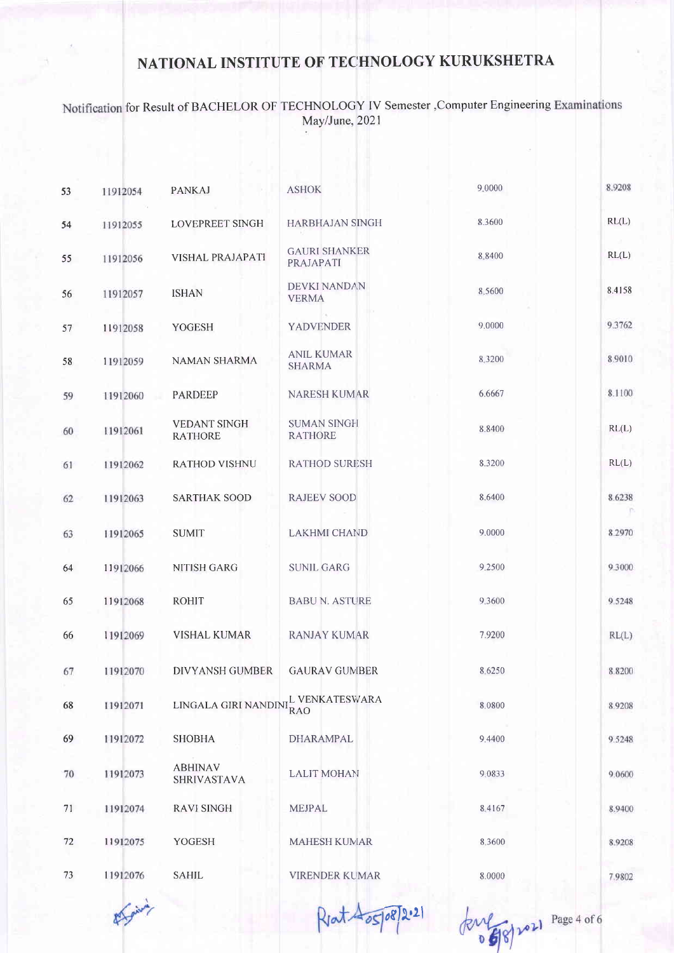### Notification for Result of BACHELOR OF TECHNOLOGY IV Semester ,Computer Engineering Examinations May/June, 2021

| 53 | 11912054 | <b>PANKAJ</b>                         | <b>ASHOK</b>                         | 9,0000 | 8.9208 |
|----|----------|---------------------------------------|--------------------------------------|--------|--------|
| 54 | 11912055 | LOVEPREET SINGH                       | <b>HARBHAJAN SINGH</b>               | 8.3600 | RL(L)  |
| 55 | 11912056 | VISHAL PRAJAPATI                      | <b>GAURI SHANKER</b><br>PRAJAPATI    | 8,8400 | RL(L)  |
| 56 | 11912057 | <b>ISHAN</b>                          | DEVKI NANDAN<br><b>VERMA</b>         | 8,5600 | 8.4158 |
| 57 | 11912058 | YOGESH                                | <b>YADVENDER</b>                     | 9.0000 | 9.3762 |
| 58 | 11912059 | NAMAN SHARMA                          | <b>ANIL KUMAR</b><br><b>SHARMA</b>   | 8,3200 | 8.9010 |
| 59 | 11912060 | <b>PARDEEP</b>                        | <b>NARESH KUMAR</b>                  | 6.6667 | 8.1100 |
| 60 | 11912061 | <b>VEDANT SINGH</b><br><b>RATHORE</b> | <b>SUMAN SINGH</b><br><b>RATHORE</b> | 8.8400 | RL(L)  |
| 61 | 11912062 | <b>RATHOD VISHNU</b>                  | <b>RATHOD SURESH</b>                 | 8.3200 | RL(L)  |
| 62 | 11912063 | <b>SARTHAK SOOD</b>                   | <b>RAJEEV SOOD</b>                   | 8.6400 | 8.6238 |
| 63 | 11912065 | <b>SUMIT</b>                          | <b>LAKHMI CHAND</b>                  | 9.0000 | 8.2970 |
| 64 | 11912066 | <b>NITISH GARG</b>                    | <b>SUNIL GARG</b>                    | 9.2500 | 9.3000 |
| 65 | 11912068 | <b>ROHIT</b>                          | <b>BABU N. ASTURE</b>                | 9.3600 | 9.5248 |
| 66 | 11912069 | <b>VISHAL KUMAR</b>                   | <b>RANJAY KUMAR</b>                  | 7.9200 | RL(L)  |
| 67 | 11912070 | <b>DIVYANSH GUMBER</b>                | <b>GAURAV GUMBER</b>                 | 8.6250 | 8.8200 |
| 68 | 11912071 | LINGALA GIRI NANDIN                   | L VENKATESWARA<br><b>RAO</b>         | 8.0800 | 8.9208 |
| 69 | 11912072 | <b>SHOBHA</b>                         | DHARAMPAL                            | 9.4400 | 9.5248 |
| 70 | 11912073 | ABHINAV<br><b>SHRIVASTAVA</b>         | <b>LALIT MOHAN</b>                   | 9.0833 | 9.0600 |
| 71 | 11912074 | <b>RAVI SINGH</b>                     | <b>MEJPAL</b>                        | 8.4167 | 8.9400 |
| 72 | 11912075 | <b>YOGESH</b>                         | <b>MAHESH KUMAR</b>                  | 8.3600 | 8.9208 |
| 73 | 11912076 | SAHIL                                 | <b>VIRENDER KUMAR</b>                | 8.0000 | 7.9802 |

 $RJatA0508/2021$ 

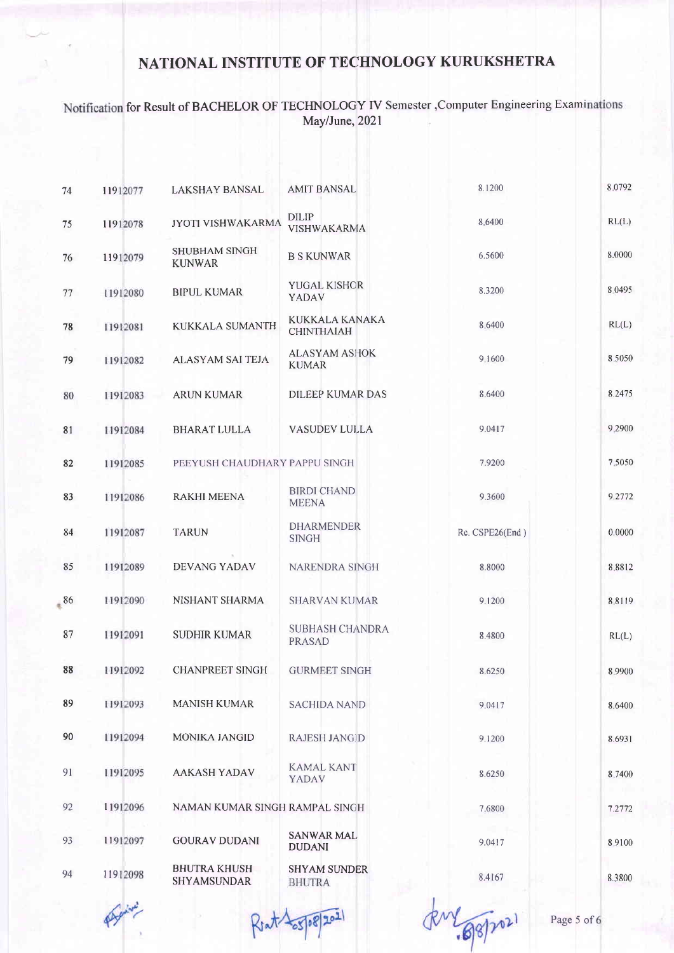### Notification for Result of BACHELOR OF TECHNOLOGY IV Semester ,Computer Engineering Examinations May/June, 2021

| 74 | 11912077 | <b>LAKSHAY BANSAL</b>                     | <b>AMIT BANSAL</b>                         | 8.1200          | 8.0792 |
|----|----------|-------------------------------------------|--------------------------------------------|-----------------|--------|
| 75 | 11912078 | JYOTI VISHWAKARMA                         | <b>DILIP</b><br>VISHWAKARMA                | 8.6400          |        |
| 76 | 11912079 | SHUBHAM SINGH<br><b>KUNWAR</b>            | <b>B S KUNWAR</b>                          | 6.5600          |        |
| 77 | 11912080 | <b>BIPUL KUMAR</b>                        | YUGAL KISHOR<br>YADAV                      | 8.3200          | 8.0495 |
| 78 | 11912081 | <b>KUKKALA SUMANTH</b>                    | <b>KUKKALA KANAKA</b><br><b>CHINTHAIAH</b> | 8.6400          | RL(L)  |
| 79 | 11912082 | ALASYAM SAI TEJA                          | <b>ALASYAM ASHOK</b><br><b>KUMAR</b>       | 9.1600          | 8.5050 |
| 80 | 11912083 | <b>ARUN KUMAR</b>                         | <b>DILEEP KUMAR DAS</b>                    | 8.6400          | 8.2475 |
| 81 | 11912084 | <b>BHARAT LULLA</b>                       | VASUDEV LULLA                              | 9.0417          | 9.2900 |
| 82 | 11912085 | PEEYUSH CHAUDHARY PAPPU SINGH             |                                            | 7.9200          | 7.5050 |
| 83 | 11912086 | <b>RAKHI MEENA</b>                        | <b>BIRDI CHAND</b><br><b>MEENA</b>         | 9.3600          | 9,2772 |
| 84 | 11912087 | <b>TARUN</b>                              | <b>DHARMENDER</b><br><b>SINGH</b>          | Re. CSPE26(End) | 0.0000 |
| 85 | 11912089 | <b>DEVANG YADAV</b>                       | NARENDRA SINGH                             | 8.8000          |        |
| 86 | 11912090 | NISHANT SHARMA                            | <b>SHARVAN KUMAR</b>                       | 9.1200          |        |
| 87 | 11912091 | <b>SUDHIR KUMAR</b>                       | <b>SUBHASH CHANDRA</b><br><b>PRASAD</b>    | 8.4800          | RL(L)  |
| 88 | 11912092 | <b>CHANPREET SINGH</b>                    | <b>GURMEET SINGH</b>                       | 8.6250          | 8.9900 |
| 89 | 11912093 | <b>MANISH KUMAR</b>                       | <b>SACHIDA NAND</b>                        | 9.0417          | 8.6400 |
| 90 | 11912094 | <b>MONIKA JANGID</b>                      | <b>RAJESH JANGID</b>                       | 9.1200          | 8.6931 |
| 91 | 11912095 | <b>AAKASH YADAV</b>                       | <b>KAMAL KANT</b><br>YADAV                 | 8.6250          | 8.7400 |
| 92 | 11912096 | NAMAN KUMAR SINGH RAMPAL SINGH            |                                            | 7.6800          | 7.2772 |
| 93 | 11912097 | <b>GOURAV DUDANI</b>                      | <b>SANWAR MAL</b><br><b>DUDANI</b>         | 9.0417          | 8.9100 |
| 94 | 11912098 | <b>BHUTRA KHUSH</b><br><b>SHYAMSUNDAR</b> | <b>SHYAM SUNDER</b><br><b>BHUTRA</b>       | 8.4167          | 8.3800 |
|    |          |                                           |                                            |                 |        |

Klat 05/08/201

Page 5 of 6

 $.6812021$